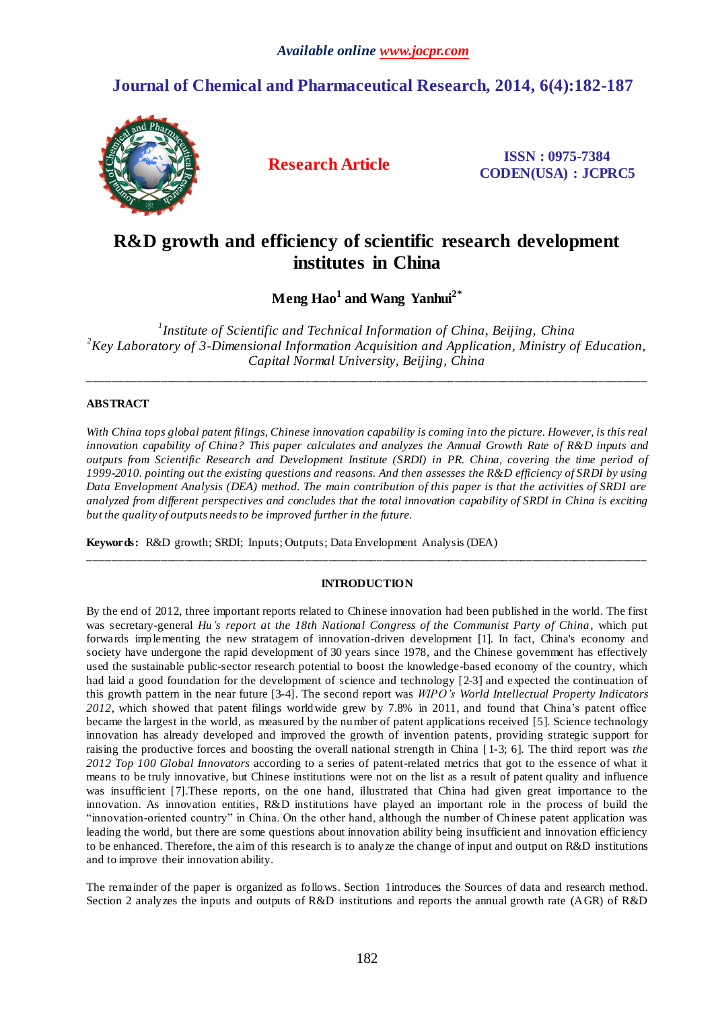## **Journal of Chemical and Pharmaceutical Research, 2014, 6(4):182-187**



**Research Article ISSN : 0975-7384 CODEN(USA) : JCPRC5**

# **R&D growth and efficiency of scientific research development institutes in China**

**Meng Hao<sup>1</sup> and Wang Yanhui2\***

*1 Institute of Scientific and Technical Information of China, Beijing, China <sup>2</sup>Key Laboratory of 3-Dimensional Information Acquisition and Application, Ministry of Education, Capital Normal University, Beijing, China*

\_\_\_\_\_\_\_\_\_\_\_\_\_\_\_\_\_\_\_\_\_\_\_\_\_\_\_\_\_\_\_\_\_\_\_\_\_\_\_\_\_\_\_\_\_\_\_\_\_\_\_\_\_\_\_\_\_\_\_\_\_\_\_\_\_\_\_\_\_\_\_\_\_\_\_\_\_\_\_\_\_\_\_\_\_\_\_\_\_\_\_\_\_

## **ABSTRACT**

*With China tops global patent filings, Chinese innovation capability is coming in to the picture. However, is this real innovation capability of China? This paper calculates and analyzes the Annual Growth Rate of R&D inputs and outputs from Scientific Research and Development Institute (SRDI) in PR. China, covering the time period of 1999-2010. pointing out the existing questions and reasons. And then assesses the R&D efficiency of SRDI by using Data Envelopment Analysis (DEA) method. The main contribution of this paper is that the activities of SRDI are analyzed from different perspectives and concludes that the total innovation capability of SRDI in China is exciting but the quality of outputs needs to be improved further in the future.*

**Keywords:** R&D growth; SRDI; Inputs; Outputs; Data Envelopment Analysis (DEA)

## **INTRODUCTION**

\_\_\_\_\_\_\_\_\_\_\_\_\_\_\_\_\_\_\_\_\_\_\_\_\_\_\_\_\_\_\_\_\_\_\_\_\_\_\_\_\_\_\_\_\_\_\_\_\_\_\_\_\_\_\_\_\_\_\_\_\_\_\_\_\_\_\_\_\_\_\_\_\_\_\_\_\_\_\_\_\_\_\_\_\_\_\_\_\_\_\_\_\_

By the end of 2012, three important reports related to Chinese innovation had been published in the world. The first was secretary-general *Hu's report at the 18th National Congress of the Communist Party of China*, which put forwards implementing the new stratagem of innovation-driven development [1]. In fact, China's economy and society have undergone the rapid development of 30 years since 1978, and the Chinese government has effectively used the sustainable public-sector research potential to boost the knowledge-based economy of the country, which had laid a good foundation for the development of science and technology [2-3] and expected the continuation of this growth pattern in the near future [3-4]. The second report was *WIPO's [World Intellectual Property Indicators](http://www.wipo.int/ipstats/en/wipi/index.html)  [2012](http://www.wipo.int/ipstats/en/wipi/index.html)*, which showed that patent filings worldwide grew by 7.8% in 2011, and found that China's patent office became the largest in the world, as measured by the number of patent applications received [5]. Science technology innovation has already developed and improved the growth of invention patents, providing strategic support for raising the productive forces and boosting the overall national strength in China [ 1-3; 6]. The third report was *the 2012 Top 100 Global Innovators* according to a series of patent-related metrics that got to the essence of what it means to be truly innovative, but Chinese institutions were not on the list as a result of patent quality and influence was insufficient [7].These reports, on the one hand, illustrated that China had given great importance to the innovation. As innovation entities, R&D institutions have played an important role in the process of build the "innovation-oriented country" in China. On the other hand, although the number of Chinese patent application was leading the world, but there are some questions about innovation ability being insufficient and innovation efficiency to be enhanced. Therefore, the aim of this research is to analyze the change of input and output on R&D institutions and to improve their innovation ability.

The remainder of the paper is organized as follows. Section 1introduces the Sources of data and research method. Section 2 analyzes the inputs and outputs of R&D institutions and reports the annual growth rate (AGR) of R&D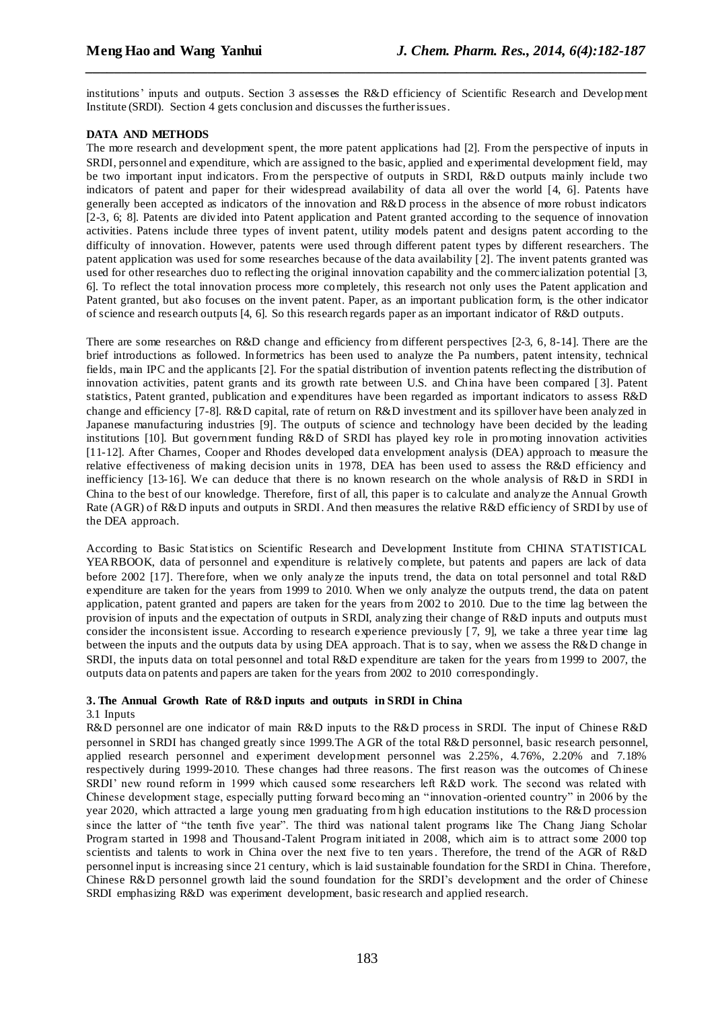institutions' inputs and outputs. Section 3 assesses the R&D efficiency of Scientific Research and Development Institute (SRDI). Section 4 gets conclusion and discusses the further issues.

*\_\_\_\_\_\_\_\_\_\_\_\_\_\_\_\_\_\_\_\_\_\_\_\_\_\_\_\_\_\_\_\_\_\_\_\_\_\_\_\_\_\_\_\_\_\_\_\_\_\_\_\_\_\_\_\_\_\_\_\_\_\_\_\_\_\_\_\_\_\_\_\_\_\_\_\_\_\_*

## **DATA AND METHODS**

The more research and development spent, the more patent applications had [2]. From the perspective of inputs in SRDI, personnel and expenditure, which are assigned to the basic, applied and experimental development field, may be two important input indicators. From the perspective of outputs in SRDI, R&D outputs mainly include two indicators of patent and paper for their widespread availability of data all over the world [4, 6]. Patents have generally been accepted as indicators of the innovation and R&D process in the absence of more robust indicators [2-3, 6; 8]. Patents are divided into Patent application and Patent granted according to the sequence of innovation activities. Patens include three types of invent patent, utility models patent and designs patent according to the difficulty of innovation. However, patents were used through different patent types by different researchers. The patent application was used for some researches because of the data availability [2]. The invent patents granted was used for other researches duo to reflecting the original innovation capability and the commercialization potential [3, 6]. To reflect the total innovation process more completely, this research not only uses the Patent application and Patent granted, but also focuses on the invent patent. Paper, as an important publication form, is the other indicator of science and research outputs [4, 6]. So this research regards paper as an important indicator of R&D outputs.

There are some researches on R&D change and efficiency from different perspectives [2-3, 6, 8-14]. There are the brief introductions as followed. Informetrics has been used to analyze the Pa numbers, patent intensity, technical fields, main IPC and the applicants [2]. For the spatial distribution of invention patents reflecting the distribution of innovation activities, patent grants and its growth rate between U.S. and China have been compared [ 3]. Patent statistics, Patent granted, publication and expenditures have been regarded as important indicators to assess R&D change and efficiency [7-8]. R&D capital, rate of return on R&D investment and its spillover have been analyzed in Japanese manufacturing industries [9]. The outputs of science and technology have been decided by the leading institutions [10]. But government funding R&D of SRDI has played key role in promoting innovation activities [11-12]. After Charnes, Cooper and Rhodes developed data envelopment analysis (DEA) approach to measure the relative effectiveness of making decision units in 1978, DEA has been used to assess the R&D efficiency and inefficiency [13-16]. We can deduce that there is no known research on the whole analysis of R&D in SRDI in China to the best of our knowledge. Therefore, first of all, this paper is to calculate and analyze the Annual Growth Rate (AGR) of R&D inputs and outputs in SRDI. And then measures the relative R&D efficiency of SRDI by use of the DEA approach.

According to Basic Statistics on Scientific Research and Development Institute from CHINA STATISTICAL YEARBOOK, data of personnel and expenditure is relatively complete, but patents and papers are lack of data before 2002 [17]. Therefore, when we only analyze the inputs trend, the data on total personnel and total R&D expenditure are taken for the years from 1999 to 2010. When we only analyze the outputs trend, the data on patent application, patent granted and papers are taken for the years from 2002 to 2010. Due to the time lag between the provision of inputs and the expectation of outputs in SRDI, analyzing their change of R&D inputs and outputs must consider the inconsistent issue. According to research experience previously [ 7, 9], we take a three year time lag between the inputs and the outputs data by using DEA approach. That is to say, when we assess the R&D change in SRDI, the inputs data on total personnel and total R&D expenditure are taken for the years from 1999 to 2007, the outputs data on patents and papers are taken for the years from 2002 to 2010 correspondingly.

### **3. The Annual Growth Rate of R&D inputs and outputs in SRDI in China**

## 3.1 Inputs

R&D personnel are one indicator of main R&D inputs to the R&D process in SRDI. The input of Chinese R&D personnel in SRDI has changed greatly since 1999.The AGR of the total R&D personnel, basic research personnel, applied research personnel and experiment development personnel was 2.25%, 4.76%, 2.20% and 7.18% respectively during 1999-2010. These changes had three reasons. The first reason was the outcomes of Chinese SRDI' new round reform in 1999 which caused some researchers left R&D work. The second was related with Chinese development stage, especially putting forward becoming an "innovation -oriented country" in 2006 by the year 2020, which attracted a large young men graduating from high education institutions to the R&D procession since the latter of "the tenth five year". The third was national talent programs like The Chang Jiang Scholar Program started in 1998 and Thousand-Talent Program initiated in 2008, which aim is to attract some 2000 top scientists and talents to work in China over the next five to ten years. Therefore, the trend of the AGR of R&D personnel input is increasing since 21 century, which is laid sustainable foundation for the SRDI in China. Therefore, Chinese R&D personnel growth laid the sound foundation for the SRDI's development and the order of Chinese SRDI emphasizing R&D was experiment development, basic research and applied research.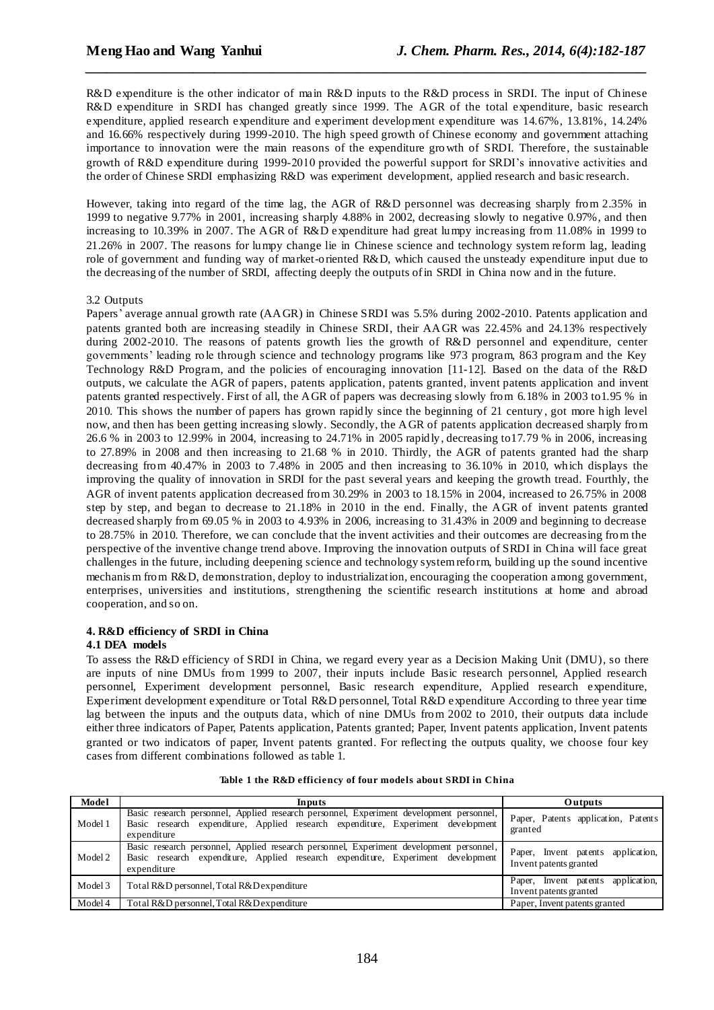R&D expenditure is the other indicator of main R&D inputs to the R&D process in SRDI. The input of Chinese R&D expenditure in SRDI has changed greatly since 1999. The AGR of the total expenditure, basic research expenditure, applied research expenditure and experiment development expenditure was 14.67%, 13.81%, 14.24% and 16.66% respectively during 1999-2010. The high speed growth of Chinese economy and government attaching importance to innovation were the main reasons of the expenditure growth of SRDI. Therefore, the sustainable growth of R&D expenditure during 1999-2010 provided the powerful support for SRDI's innovative activities and the order of Chinese SRDI emphasizing R&D was experiment development, applied research and basic research.

*\_\_\_\_\_\_\_\_\_\_\_\_\_\_\_\_\_\_\_\_\_\_\_\_\_\_\_\_\_\_\_\_\_\_\_\_\_\_\_\_\_\_\_\_\_\_\_\_\_\_\_\_\_\_\_\_\_\_\_\_\_\_\_\_\_\_\_\_\_\_\_\_\_\_\_\_\_\_*

However, taking into regard of the time lag, the AGR of R&D personnel was decreasing sharply from 2.35% in 1999 to negative 9.77% in 2001, increasing sharply 4.88% in 2002, decreasing slowly to negative 0.97%, and then increasing to 10.39% in 2007. The AGR of R&D expenditure had great lumpy increasing from 11.08% in 1999 to 21.26% in 2007. The reasons for lumpy change lie in Chinese science and technology system reform lag, leading role of government and funding way of market-oriented R&D, which caused the unsteady expenditure input due to the decreasing of the number of SRDI, affecting deeply the outputs of in SRDI in China now and in the future.

#### 3.2 Outputs

Papers' average annual growth rate (AAGR) in Chinese SRDI was 5.5% during 2002-2010. Patents application and patents granted both are increasing steadily in Chinese SRDI, their AAGR was 22.45% and 24.13% respectively during 2002-2010. The reasons of patents growth lies the growth of R&D personnel and expenditure, center governments' leading role through science and technology programs like 973 program, 863 program and the Key Technology R&D Program, and the policies of encouraging innovation [11-12]. Based on the data of the R&D outputs, we calculate the AGR of papers, patents application, patents granted, invent patents application and invent patents granted respectively. First of all, the AGR of papers was decreasing slowly from 6.18% in 2003 to1.95 % in 2010. This shows the number of papers has grown rapidly since the beginning of 21 century , got more high level now, and then has been getting increasing slowly. Secondly, the AGR of patents application decreased sharply from 26.6 % in 2003 to 12.99% in 2004, increasing to 24.71% in 2005 rapidly, decreasing to17.79 % in 2006, increasing to 27.89% in 2008 and then increasing to 21.68 % in 2010. Thirdly, the AGR of patents granted had the sharp decreasing from 40.47% in 2003 to 7.48% in 2005 and then increasing to 36.10% in 2010, which displays the improving the quality of innovation in SRDI for the past several years and keeping the growth tread. Fourthly, the AGR of invent patents application decreased from 30.29% in 2003 to 18.15% in 2004, increased to 26.75% in 2008 step by step, and began to decrease to 21.18% in 2010 in the end. Finally, the AGR of invent patents granted decreased sharply from 69.05 % in 2003 to 4.93% in 2006, increasing to 31.43% in 2009 and beginning to decrease to 28.75% in 2010. Therefore, we can conclude that the invent activities and their outcomes are decreasing from the perspective of the inventive change trend above. Improving the innovation outputs of SRDI in China will face great challenges in the future, including deepening science and technology system reform, building up the sound incentive mechanis m from R&D, demonstration, deploy to industrialization, encouraging the cooperation among government, enterprises, universities and institutions, strengthening the scientific research institutions at home and abroad cooperation, and so on.

## **4. R&D efficiency of SRDI in China**

#### **4.1 DEA models**

To assess the R&D efficiency of SRDI in China, we regard every year as a Decision Making Unit (DMU), so there are inputs of nine DMUs from 1999 to 2007, their inputs include Basic research personnel, Applied research personnel, Experiment development personnel, Basic research expenditure, Applied research expenditure, Experiment development expenditure or Total R&D personnel, Total R&D expenditure According to three year time lag between the inputs and the outputs data, which of nine DMUs from 2002 to 2010, their outputs data include either three indicators of Paper, Patents application, Patents granted; Paper, Invent patents application, Invent patents granted or two indicators of paper, Invent patents granted. For reflecting the outputs quality, we choose four key cases from different combinations followed as table 1.

| Model   | Inputs                                                                                                                                                                                     | <b>Outputs</b>                                               |  |  |  |
|---------|--------------------------------------------------------------------------------------------------------------------------------------------------------------------------------------------|--------------------------------------------------------------|--|--|--|
| Model 1 | Basic research personnel, Applied research personnel, Experiment development personnel,<br>Basic research expenditure, Applied research expenditure, Experiment development<br>expenditure | Paper, Patents application, Patents<br>granted               |  |  |  |
| Model 2 | Basic research personnel, Applied research personnel, Experiment development personnel,<br>Basic research expenditure, Applied research expenditure, Experiment development<br>expenditure | Paper, Invent patents application,<br>Invent patents granted |  |  |  |
| Model 3 | Total R&D personnel, Total R&D expenditure                                                                                                                                                 | Paper, Invent patents application,<br>Invent patents granted |  |  |  |
| Model 4 | Total R&D personnel, Total R&D expenditure                                                                                                                                                 | Paper, Invent patents granted                                |  |  |  |

| Table 1 the R&D efficiency of four models about SRDI in China |  |
|---------------------------------------------------------------|--|
|---------------------------------------------------------------|--|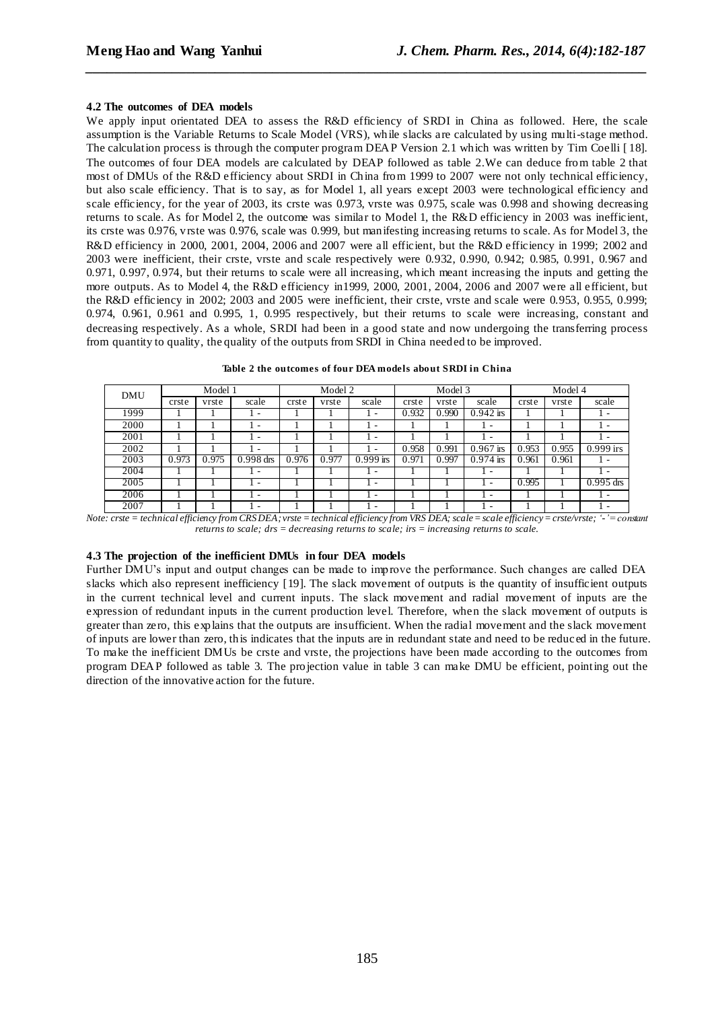#### **4.2 The outcomes of DEA models**

We apply input orientated DEA to assess the R&D efficiency of SRDI in China as followed. Here, the scale assumption is the Variable Returns to Scale Model (VRS), while slacks are calculated by using multi-stage method. The calculation process is through the computer program DEAP Version 2.1 which was written by Tim Coelli [ 18]. The outcomes of four DEA models are calculated by DEAP followed as table 2.We can deduce from table 2 that most of DMUs of the R&D efficiency about SRDI in China from 1999 to 2007 were not only technical efficiency, but also scale efficiency. That is to say, as for Model 1, all years except 2003 were technological efficiency and scale efficiency, for the year of 2003, its crste was 0.973, vrste was 0.975, scale was 0.998 and showing decreasing returns to scale. As for Model 2, the outcome was similar to Model 1, the R&D efficiency in 2003 was inefficient, its crste was 0.976, vrste was 0.976, scale was 0.999, but manifesting increasing returns to scale. As for Model 3, the R&D efficiency in 2000, 2001, 2004, 2006 and 2007 were all efficient, but the R&D efficiency in 1999; 2002 and 2003 were inefficient, their crste, vrste and scale respectively were 0.932, 0.990, 0.942; 0.985, 0.991, 0.967 and 0.971, 0.997, 0.974, but their returns to scale were all increasing, which meant increasing the inputs and getting the more outputs. As to Model 4, the R&D efficiency in1999, 2000, 2001, 2004, 2006 and 2007 were all efficient, but the R&D efficiency in 2002; 2003 and 2005 were inefficient, their crste, vrste and scale were 0.953, 0.955, 0.999; 0.974, 0.961, 0.961 and 0.995, 1, 0.995 respectively, but their returns to scale were increasing, constant and decreasing respectively. As a whole, SRDI had been in a good state and now undergoing the transferring process from quantity to quality, the quality of the outputs from SRDI in China needed to be improved.

*\_\_\_\_\_\_\_\_\_\_\_\_\_\_\_\_\_\_\_\_\_\_\_\_\_\_\_\_\_\_\_\_\_\_\_\_\_\_\_\_\_\_\_\_\_\_\_\_\_\_\_\_\_\_\_\_\_\_\_\_\_\_\_\_\_\_\_\_\_\_\_\_\_\_\_\_\_\_*

| <b>DMU</b> | Model 1 |       |                          | Model 2 |       | Model 3                  |       |       | Model 4                  |       |       |             |
|------------|---------|-------|--------------------------|---------|-------|--------------------------|-------|-------|--------------------------|-------|-------|-------------|
|            | crste   | vrste | scale                    | crste   | vrste | scale                    | crste | vrste | scale                    | crste | vrste | scale       |
| 1999       |         |       | -                        |         |       | $\overline{\phantom{a}}$ | 0.932 | 0.990 | $0.942$ irs              |       |       | $\sim$      |
| 2000       |         |       | $\overline{\phantom{a}}$ |         |       | $\overline{\phantom{a}}$ |       |       | -                        |       |       | $\sim$      |
| 2001       |         |       | $\overline{\phantom{a}}$ |         |       | $\overline{\phantom{a}}$ |       |       | $\overline{\phantom{a}}$ |       |       | $\sim$      |
| 2002       |         |       | -                        |         |       | $\overline{\phantom{a}}$ | 0.958 | 0.991 | $0.967$ irs              | 0.953 | 0.955 | $0.999$ irs |
| 2003       | 0.973   | 0.975 | $0.998$ drs              | 0.976   | 0.977 | $\overline{0.999}$ irs   | 0.971 | 0.997 | $\overline{0.974}$ irs   | 0.961 | 0.961 | $\sim$      |
| 2004       |         |       | $\overline{\phantom{a}}$ |         |       | $\overline{\phantom{a}}$ |       |       | ۰                        |       |       | $\sim$      |
| 2005       |         |       | -                        |         |       | $\overline{\phantom{a}}$ |       |       |                          | 0.995 |       | $0.995$ drs |
| 2006       |         |       | -                        |         |       | $\overline{\phantom{a}}$ |       |       | -                        |       |       | $\sim$      |
| 2007       |         |       | -                        |         |       | $\overline{\phantom{a}}$ |       |       | -                        |       |       | $\sim$      |

**Table 2 the outcomes of four DEA models about SRDI in China**

*Note: crste = technical efficiency from CRS DEA; vrste = technical efficiency from VRS DEA; scale= scale efficiency= crste/vrste; '-'= constant returns to scale; drs = decreasing returns to scale; irs = increasing returns to scale.*

## **4.3 The projection of the inefficient DMUs in four DEA models**

Further DMU's input and output changes can be made to improve the performance. Such changes are called DEA slacks which also represent inefficiency [19]. The slack movement of outputs is the quantity of insufficient outputs in the current technical level and current inputs. The slack movement and radial movement of inputs are the expression of redundant inputs in the current production level. Therefore, when the slack movement of outputs is greater than zero, this explains that the outputs are insufficient. When the radial movement and the slack movement of inputs are lower than zero, this indicates that the inputs are in redundant state and need to be reduc ed in the future. To make the inefficient DMUs be crste and vrste, the projections have been made according to the outcomes from program DEAP followed as table 3. The projection value in table 3 can make DMU be efficient, pointing out the direction of the innovative action for the future.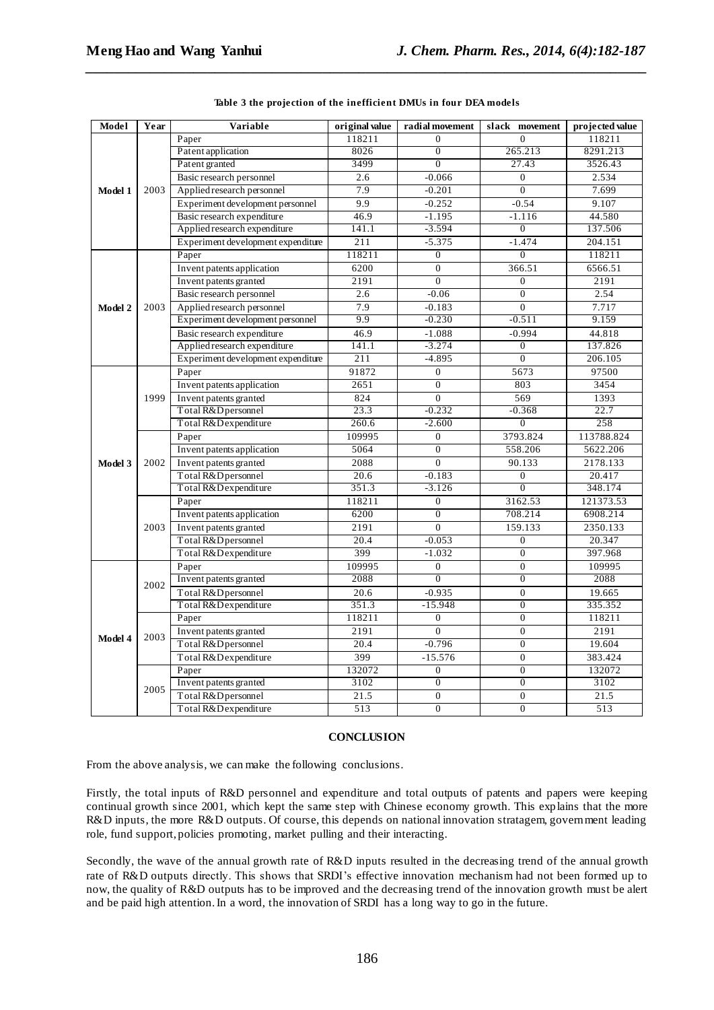| Model   | Year | Variable                           | original value    | radial movement  | slack movement   | projected value |
|---------|------|------------------------------------|-------------------|------------------|------------------|-----------------|
|         |      | Paper                              | 118211            | $\theta$         | $\overline{0}$   | 118211          |
|         | 2003 | Patent application                 | 8026              | $\boldsymbol{0}$ | 265.213          | 8291.213        |
|         |      | Patent granted                     | 3499              | $\overline{0}$   | 27.43            | 3526.43         |
|         |      | Basic research personnel           | 2.6               | $-0.066$         | $\boldsymbol{0}$ | 2.534           |
| Model 1 |      | Applied research personnel         | 7.9               | $-0.201$         | $\overline{0}$   | 7.699           |
|         |      | Experiment development personnel   | 9.9               | $-0.252$         | $-0.54$          | 9.107           |
|         |      | Basic research expenditure         | 46.9              | $-1.195$         | $-1.116$         | 44.580          |
|         |      | Applied research expenditure       | 141.1             | $-3.594$         | $\overline{0}$   | 137.506         |
|         |      | Experiment development expenditure | 211               | $-5.375$         | $-1.474$         | 204.151         |
|         |      | Paper                              | 118211            | $\boldsymbol{0}$ | $\mathbf{0}$     | 118211          |
|         |      | Invent patents application         | 6200              | $\overline{0}$   | 366.51           | 6566.51         |
|         |      | Invent patents granted             | 2191              | $\overline{0}$   | $\overline{0}$   | 2191            |
|         |      | Basic research personnel           | 2.6               | $-0.06$          | $\overline{0}$   | 2.54            |
| Model 2 | 2003 | Applied research personnel         | 7.9               | $-0.183$         | $\theta$         | 7.717           |
|         |      | Experiment development personnel   | 9.9               | $-0.230$         | $-0.511$         | 9.159           |
|         |      | Basic research expenditure         | 46.9              | $-1.088$         | $-0.994$         | 44.818          |
|         |      | Applied research expenditure       | 141.1             | $-3.274$         | $\overline{0}$   | 137.826         |
|         |      | Experiment development expenditure | 211               | $-4.895$         | $\overline{0}$   | 206.105         |
|         | 1999 | Paper                              | 91872             | $\overline{0}$   | 5673             | 97500           |
|         |      | Invent patents application         | 2651              | $\overline{0}$   | 803              | 3454            |
|         |      | Invent patents granted             | 824               | $\overline{0}$   | 569              | 1393            |
|         |      | Total R&D personnel                | 23.3              | $-0.232$         | $-0.368$         | 22.7            |
|         |      | Total R&Dexpenditure               | 260.6             | $-2.600$         | $\boldsymbol{0}$ | 258             |
|         | 2002 | Paper                              | 109995            | $\boldsymbol{0}$ | 3793.824         | 113788.824      |
|         |      | Invent patents application         | 5064              | $\boldsymbol{0}$ | 558.206          | 5622.206        |
| Model 3 |      | Invent patents granted             | 2088              | $\overline{0}$   | 90.133           | 2178.133        |
|         |      | Total R&D personnel                | $\overline{20.6}$ | $-0.183$         | $\overline{0}$   | 20.417          |
|         |      | Total R&Dexpenditure               | 351.3             | $-3.126$         | $\overline{0}$   | 348.174         |
|         |      | Paper                              | 118211            | $\overline{0}$   | 3162.53          | 121373.53       |
|         |      | Invent patents application         | 6200              | $\overline{0}$   | 708.214          | 6908.214        |
|         | 2003 | Invent patents granted             | 2191              | $\boldsymbol{0}$ | 159.133          | 2350.133        |
|         |      | Total R&D personnel                | 20.4              | $-0.053$         | $\boldsymbol{0}$ | 20.347          |
|         |      | Total R&D expenditure              | 399               | $-1.032$         | $\mathbf{0}$     | 397.968         |
|         |      | Paper                              | 109995            | $\overline{0}$   | $\mathbf{0}$     | 109995          |
|         | 2002 | Invent patents granted             | 2088              | $\overline{0}$   | $\overline{0}$   | 2088            |
|         |      | Total R&D personnel                | 20.6              | $-0.935$         | $\boldsymbol{0}$ | 19.665          |
|         |      | Total R&Dexpenditure               | 351.3             | $-15.948$        | $\overline{0}$   | 335.352         |
|         |      | Paper                              | 118211            | $\boldsymbol{0}$ | $\overline{0}$   | 118211          |
| Model 4 | 2003 | Invent patents granted             | 2191              | $\mathbf{0}$     | $\boldsymbol{0}$ | 2191            |
|         |      | Total R&D personnel                | 20.4              | $-0.796$         | $\overline{0}$   | 19.604          |
|         |      | Total R&Dexpenditure               | 399               | $-15.576$        | $\boldsymbol{0}$ | 383.424         |
|         | 2005 | Paper                              | 132072            | $\boldsymbol{0}$ | $\overline{0}$   | 132072          |
|         |      | Invent patents granted             | 3102              | $\overline{0}$   | $\boldsymbol{0}$ | 3102            |
|         |      | Total R&D personnel                | 21.5              | $\boldsymbol{0}$ | $\boldsymbol{0}$ | 21.5            |
|         |      | Total R&Dexpenditure               | 513               | $\overline{0}$   | $\overline{0}$   | 513             |

|  |  |  | Table 3 the projection of the inefficient DMUs in four DEA models |
|--|--|--|-------------------------------------------------------------------|
|  |  |  |                                                                   |

*\_\_\_\_\_\_\_\_\_\_\_\_\_\_\_\_\_\_\_\_\_\_\_\_\_\_\_\_\_\_\_\_\_\_\_\_\_\_\_\_\_\_\_\_\_\_\_\_\_\_\_\_\_\_\_\_\_\_\_\_\_\_\_\_\_\_\_\_\_\_\_\_\_\_\_\_\_\_*

### **CONCLUSION**

From the above analysis, we can make the following conclusions.

Firstly, the total inputs of R&D personnel and expenditure and total outputs of patents and papers were keeping continual growth since 2001, which kept the same step with Chinese economy growth. This explains that the more R&D inputs, the more R&D outputs. Of course, this depends on national innovation stratagem, government leading role, fund support, policies promoting, market pulling and their interacting.

Secondly, the wave of the annual growth rate of R&D inputs resulted in the decreasing trend of the annual growth rate of R&D outputs directly. This shows that SRDI's effective innovation mechanism had not been formed up to now, the quality of R&D outputs has to be improved and the decreasing trend of the innovation growth must be alert and be paid high attention. In a word, the innovation of SRDI has a long way to go in the future.